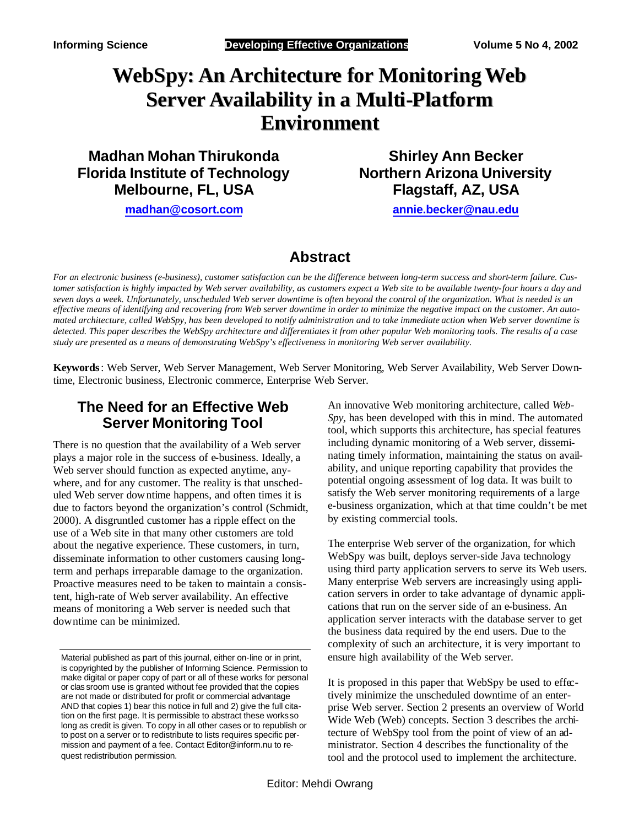# **WebSpy: An Architecture for MonitoringWeb Server Availability in a Multi-Platform Environment**

**Madhan Mohan Thirukonda Florida Institute of Technology Melbourne, FL, USA**

**Shirley Ann Becker Northern Arizona University Flagstaff, AZ, USA**

**madhan@cosort.com**

**annie.becker@nau.edu**

### **Abstract**

*For an electronic business (e-business), customer satisfaction can be the difference between long-term success and short-term failure. Customer satisfaction is highly impacted by Web server availability, as customers expect a Web site to be available twenty-four hours a day and seven days a week. Unfortunately, unscheduled Web server downtime is often beyond the control of the organization. What is needed is an effective means of identifying and recovering from Web server downtime in order to minimize the negative impact on the customer. An automated architecture, called WebSpy, has been developed to notify administration and to take immediate action when Web server downtime is detected. This paper describes the WebSpy architecture and differentiates it from other popular Web monitoring tools. The results of a case study are presented as a means of demonstrating WebSpy's effectiveness in monitoring Web server availability.* 

**Keywords**: Web Server, Web Server Management, Web Server Monitoring, Web Server Availability, Web Server Downtime, Electronic business, Electronic commerce, Enterprise Web Server.

### **The Need for an Effective Web Server Monitoring Tool**

There is no question that the availability of a Web server plays a major role in the success of e-business. Ideally, a Web server should function as expected anytime, anywhere, and for any customer. The reality is that unscheduled Web server downtime happens, and often times it is due to factors beyond the organization's control (Schmidt, 2000). A disgruntled customer has a ripple effect on the use of a Web site in that many other customers are told about the negative experience. These customers, in turn, disseminate information to other customers causing longterm and perhaps irreparable damage to the organization. Proactive measures need to be taken to maintain a consistent, high-rate of Web server availability. An effective means of monitoring a Web server is needed such that downtime can be minimized.

Material published as part of this journal, either on-line or in print, is copyrighted by the publisher of Informing Science. Permission to make digital or paper copy of part or all of these works for personal or clas sroom use is granted without fee provided that the copies are not made or distributed for profit or commercial advantage AND that copies 1) bear this notice in full and 2) give the full citation on the first page. It is permissible to abstract these works so long as credit is given. To copy in all other cases or to republish or to post on a server or to redistribute to lists requires specific permission and payment of a fee. Contact Editor@inform.nu to request redistribution permission.

An innovative Web monitoring architecture, called *Web-Spy,* has been developed with this in mind. The automated tool, which supports this architecture, has special features including dynamic monitoring of a Web server, disseminating timely information, maintaining the status on availability, and unique reporting capability that provides the potential ongoing assessment of log data. It was built to satisfy the Web server monitoring requirements of a large e-business organization, which at that time couldn't be met by existing commercial tools.

The enterprise Web server of the organization, for which WebSpy was built, deploys server-side Java technology using third party application servers to serve its Web users. Many enterprise Web servers are increasingly using application servers in order to take advantage of dynamic applications that run on the server side of an e-business. An application server interacts with the database server to get the business data required by the end users. Due to the complexity of such an architecture, it is very important to ensure high availability of the Web server.

It is proposed in this paper that WebSpy be used to effectively minimize the unscheduled downtime of an enterprise Web server. Section 2 presents an overview of World Wide Web (Web) concepts. Section 3 describes the architecture of WebSpy tool from the point of view of an administrator. Section 4 describes the functionality of the tool and the protocol used to implement the architecture.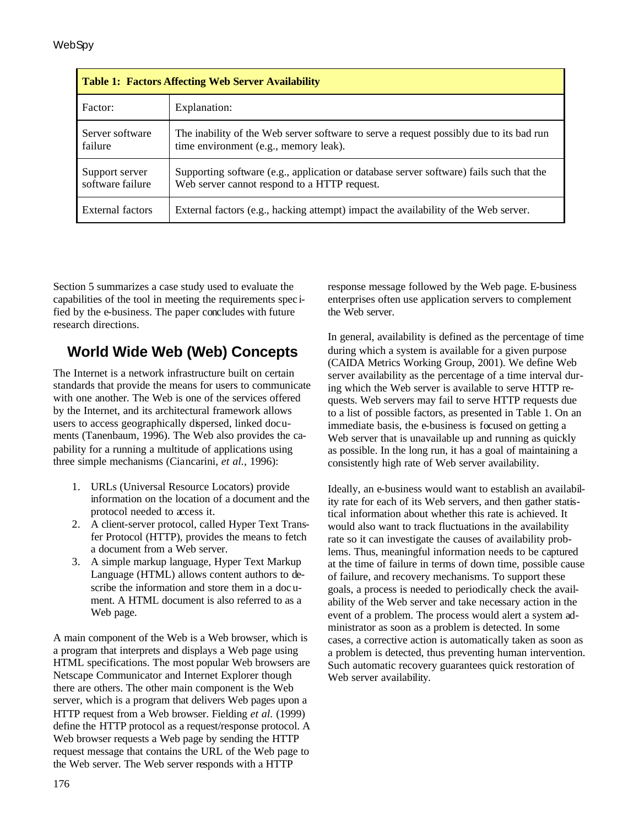| <b>Table 1: Factors Affecting Web Server Availability</b> |                                                                                                                                         |  |  |
|-----------------------------------------------------------|-----------------------------------------------------------------------------------------------------------------------------------------|--|--|
| Factor:                                                   | Explanation:                                                                                                                            |  |  |
| Server software<br>failure                                | The inability of the Web server software to serve a request possibly due to its bad run<br>time environment (e.g., memory leak).        |  |  |
| Support server<br>software failure                        | Supporting software (e.g., application or database server software) fails such that the<br>Web server cannot respond to a HTTP request. |  |  |
| External factors                                          | External factors (e.g., hacking attempt) impact the availability of the Web server.                                                     |  |  |

Section 5 summarizes a case study used to evaluate the capabilities of the tool in meeting the requirements spec ified by the e-business. The paper concludes with future research directions.

## **World Wide Web (Web) Concepts**

The Internet is a network infrastructure built on certain standards that provide the means for users to communicate with one another. The Web is one of the services offered by the Internet, and its architectural framework allows users to access geographically dispersed, linked documents (Tanenbaum, 1996). The Web also provides the capability for a running a multitude of applications using three simple mechanisms (Ciancarini, *et al.*, 1996):

- 1. URLs (Universal Resource Locators) provide information on the location of a document and the protocol needed to access it.
- 2. A client-server protocol, called Hyper Text Transfer Protocol (HTTP), provides the means to fetch a document from a Web server.
- 3. A simple markup language, Hyper Text Markup Language (HTML) allows content authors to describe the information and store them in a doc ument. A HTML document is also referred to as a Web page.

A main component of the Web is a Web browser, which is a program that interprets and displays a Web page using HTML specifications. The most popular Web browsers are Netscape Communicator and Internet Explorer though there are others. The other main component is the Web server, which is a program that delivers Web pages upon a HTTP request from a Web browser. Fielding *et al.* (1999) define the HTTP protocol as a request/response protocol. A Web browser requests a Web page by sending the HTTP request message that contains the URL of the Web page to the Web server. The Web server responds with a HTTP

response message followed by the Web page. E-business enterprises often use application servers to complement the Web server.

In general, availability is defined as the percentage of time during which a system is available for a given purpose (CAIDA Metrics Working Group, 2001). We define Web server availability as the percentage of a time interval during which the Web server is available to serve HTTP requests. Web servers may fail to serve HTTP requests due to a list of possible factors, as presented in Table 1. On an immediate basis, the e-business is focused on getting a Web server that is unavailable up and running as quickly as possible. In the long run, it has a goal of maintaining a consistently high rate of Web server availability.

Ideally, an e-business would want to establish an availability rate for each of its Web servers, and then gather statistical information about whether this rate is achieved. It would also want to track fluctuations in the availability rate so it can investigate the causes of availability problems. Thus, meaningful information needs to be captured at the time of failure in terms of down time, possible cause of failure, and recovery mechanisms. To support these goals, a process is needed to periodically check the availability of the Web server and take necessary action in the event of a problem. The process would alert a system administrator as soon as a problem is detected. In some cases, a corrective action is automatically taken as soon as a problem is detected, thus preventing human intervention. Such automatic recovery guarantees quick restoration of Web server availability.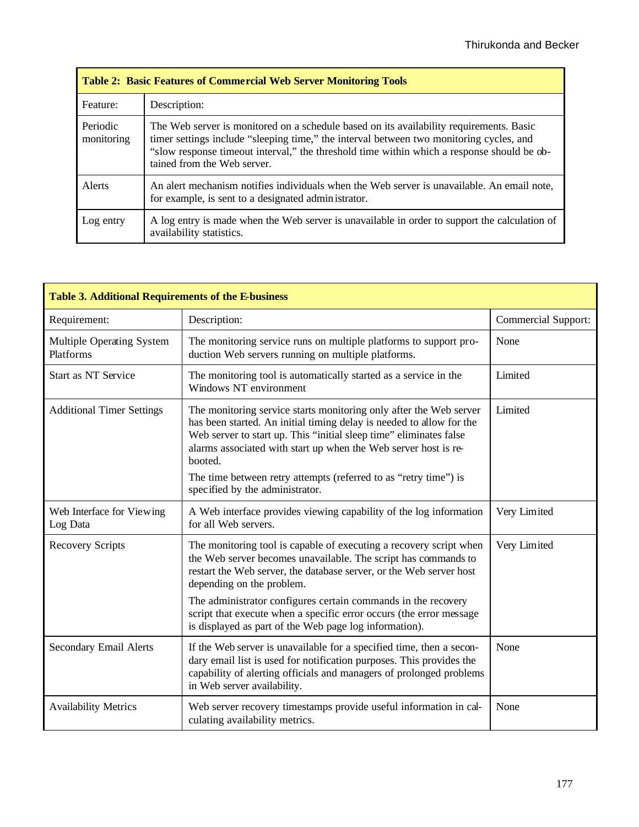| <b>Table 2: Basic Features of Commercial Web Server Monitoring Tools</b> |                                                                                                                                                                                                                                                                                                                 |  |  |
|--------------------------------------------------------------------------|-----------------------------------------------------------------------------------------------------------------------------------------------------------------------------------------------------------------------------------------------------------------------------------------------------------------|--|--|
| Feature:                                                                 | Description:                                                                                                                                                                                                                                                                                                    |  |  |
| Periodic<br>monitoring                                                   | The Web server is monitored on a schedule based on its availability requirements. Basic<br>timer settings include "sleeping time," the interval between two monitoring cycles, and<br>"slow response timeout interval," the threshold time within which a response should be ob-<br>tained from the Web server. |  |  |
| Alerts                                                                   | An alert mechanism notifies individuals when the Web server is unavailable. An email note,<br>for example, is sent to a designated admin istrator.                                                                                                                                                              |  |  |
| Log entry                                                                | A log entry is made when the Web server is unavailable in order to support the calculation of<br>availability statistics.                                                                                                                                                                                       |  |  |

| Table 3. Additional Requirements of the E-business |                                                                                                                                                                                                                                                                                                |                            |  |
|----------------------------------------------------|------------------------------------------------------------------------------------------------------------------------------------------------------------------------------------------------------------------------------------------------------------------------------------------------|----------------------------|--|
| Requirement:                                       | Description:                                                                                                                                                                                                                                                                                   | <b>Commercial Support:</b> |  |
| Multiple Operating System<br>Platforms             | The monitoring service runs on multiple platforms to support pro-<br>duction Web servers running on multiple platforms.                                                                                                                                                                        | None                       |  |
| <b>Start as NT Service</b>                         | The monitoring tool is automatically started as a service in the<br>Windows NT environment                                                                                                                                                                                                     | Limited                    |  |
| <b>Additional Timer Settings</b>                   | The monitoring service starts monitoring only after the Web server<br>has been started. An initial timing delay is needed to allow for the<br>Web server to start up. This "initial sleep time" eliminates false<br>alarms associated with start up when the Web server host is re-<br>booted. | Limited                    |  |
|                                                    | The time between retry attempts (referred to as "retry time") is<br>specified by the administrator.                                                                                                                                                                                            |                            |  |
| Web Interface for Viewing<br>Log Data              | A Web interface provides viewing capability of the log information<br>for all Web servers.                                                                                                                                                                                                     | Very Limited               |  |
| <b>Recovery Scripts</b>                            | The monitoring tool is capable of executing a recovery script when<br>the Web server becomes unavailable. The script has commands to<br>restart the Web server, the database server, or the Web server host<br>depending on the problem.                                                       | Very Limited               |  |
|                                                    | The administrator configures certain commands in the recovery<br>script that execute when a specific error occurs (the error message<br>is displayed as part of the Web page log information).                                                                                                 |                            |  |
| Secondary Email Alerts                             | If the Web server is unavailable for a specified time, then a secon-<br>dary email list is used for notification purposes. This provides the<br>capability of alerting officials and managers of prolonged problems<br>in Web server availability.                                             | None                       |  |
| <b>Availability Metrics</b>                        | Web server recovery timestamps provide useful information in cal-<br>culating availability metrics.                                                                                                                                                                                            | None                       |  |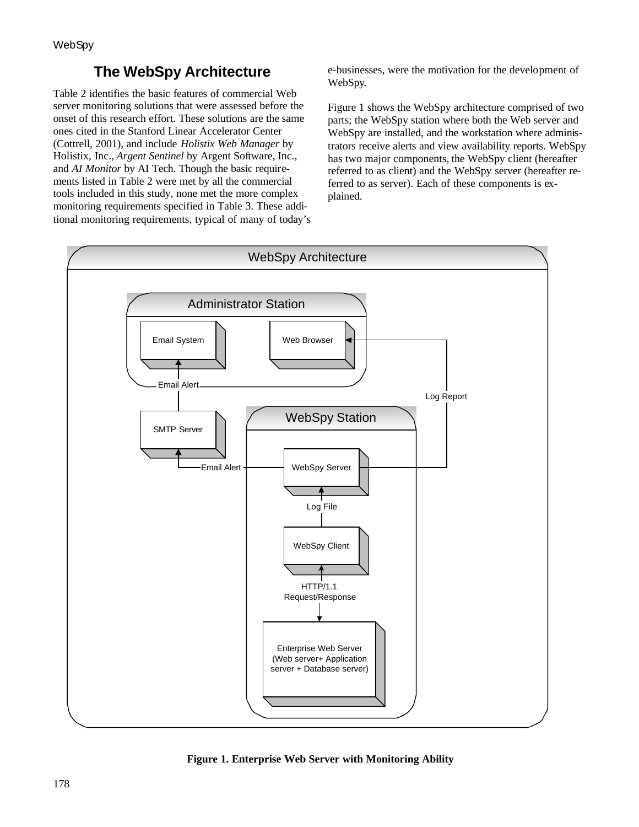## **The WebSpy Architecture**

Table 2 identifies the basic features of commercial Web server monitoring solutions that were assessed before the onset of this research effort. These solutions are the same ones cited in the Stanford Linear Accelerator Center (Cottrell, 2001), and include *Holistix Web Manager* by Holistix, Inc., *Argent Sentinel* by Argent Software, Inc., and *AI Monitor* by AI Tech. Though the basic requirements listed in Table 2 were met by all the commercial tools included in this study, none met the more complex monitoring requirements specified in Table 3. These additional monitoring requirements, typical of many of today's e-businesses, were the motivation for the development of WebSpy.

Figure 1 shows the WebSpy architecture comprised of two parts; the WebSpy station where both the Web server and WebSpy are installed, and the workstation where administrators receive alerts and view availability reports. WebSpy has two major components, the WebSpy client (hereafter referred to as client) and the WebSpy server (hereafter referred to as server). Each of these components is explained.



**Figure 1. Enterprise Web Server with Monitoring Ability**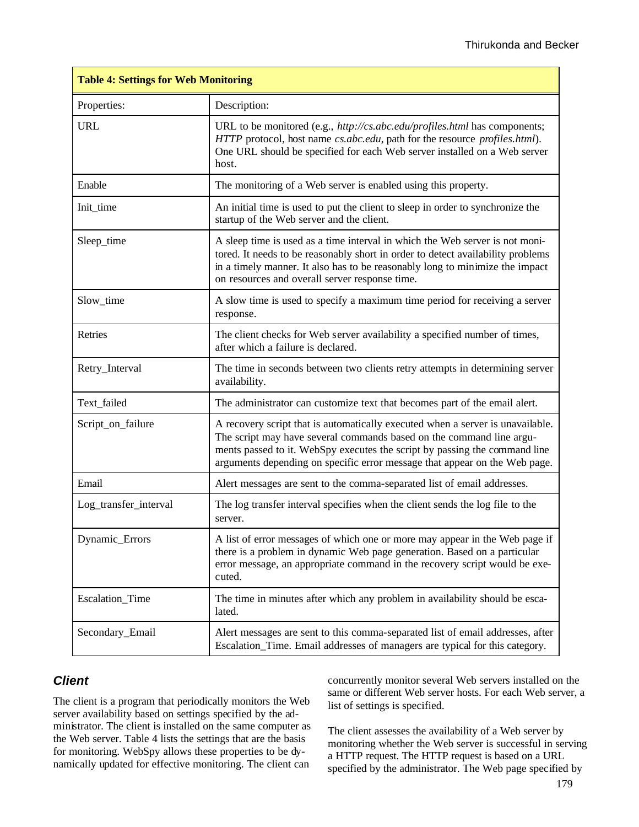| <b>Table 4: Settings for Web Monitoring</b> |                                                                                                                                                                                                                                                                                                                    |  |  |
|---------------------------------------------|--------------------------------------------------------------------------------------------------------------------------------------------------------------------------------------------------------------------------------------------------------------------------------------------------------------------|--|--|
| Properties:                                 | Description:                                                                                                                                                                                                                                                                                                       |  |  |
| <b>URL</b>                                  | URL to be monitored (e.g., http://cs.abc.edu/profiles.html has components;<br>HTTP protocol, host name cs.abc.edu, path for the resource profiles.html).<br>One URL should be specified for each Web server installed on a Web server<br>host.                                                                     |  |  |
| Enable                                      | The monitoring of a Web server is enabled using this property.                                                                                                                                                                                                                                                     |  |  |
| Init_time                                   | An initial time is used to put the client to sleep in order to synchronize the<br>startup of the Web server and the client.                                                                                                                                                                                        |  |  |
| Sleep_time                                  | A sleep time is used as a time interval in which the Web server is not moni-<br>tored. It needs to be reasonably short in order to detect availability problems<br>in a timely manner. It also has to be reasonably long to minimize the impact<br>on resources and overall server response time.                  |  |  |
| Slow time                                   | A slow time is used to specify a maximum time period for receiving a server<br>response.                                                                                                                                                                                                                           |  |  |
| Retries                                     | The client checks for Web server availability a specified number of times,<br>after which a failure is declared.                                                                                                                                                                                                   |  |  |
| Retry_Interval                              | The time in seconds between two clients retry attempts in determining server<br>availability.                                                                                                                                                                                                                      |  |  |
| Text_failed                                 | The administrator can customize text that becomes part of the email alert.                                                                                                                                                                                                                                         |  |  |
| Script_on_failure                           | A recovery script that is automatically executed when a server is unavailable.<br>The script may have several commands based on the command line argu-<br>ments passed to it. WebSpy executes the script by passing the command line<br>arguments depending on specific error message that appear on the Web page. |  |  |
| Email                                       | Alert messages are sent to the comma-separated list of email addresses.                                                                                                                                                                                                                                            |  |  |
| Log_transfer_interval                       | The log transfer interval specifies when the client sends the log file to the<br>server.                                                                                                                                                                                                                           |  |  |
| Dynamic_Errors                              | A list of error messages of which one or more may appear in the Web page if<br>there is a problem in dynamic Web page generation. Based on a particular<br>error message, an appropriate command in the recovery script would be exe-<br>cuted.                                                                    |  |  |
| Escalation_Time                             | The time in minutes after which any problem in availability should be esca-<br>lated.                                                                                                                                                                                                                              |  |  |
| Secondary_Email                             | Alert messages are sent to this comma-separated list of email addresses, after<br>Escalation_Time. Email addresses of managers are typical for this category.                                                                                                                                                      |  |  |

#### *Client*

The client is a program that periodically monitors the Web server availability based on settings specified by the administrator. The client is installed on the same computer as the Web server. Table 4 lists the settings that are the basis for monitoring. WebSpy allows these properties to be dynamically updated for effective monitoring. The client can

concurrently monitor several Web servers installed on the same or different Web server hosts. For each Web server, a list of settings is specified.

The client assesses the availability of a Web server by monitoring whether the Web server is successful in serving a HTTP request. The HTTP request is based on a URL specified by the administrator. The Web page specified by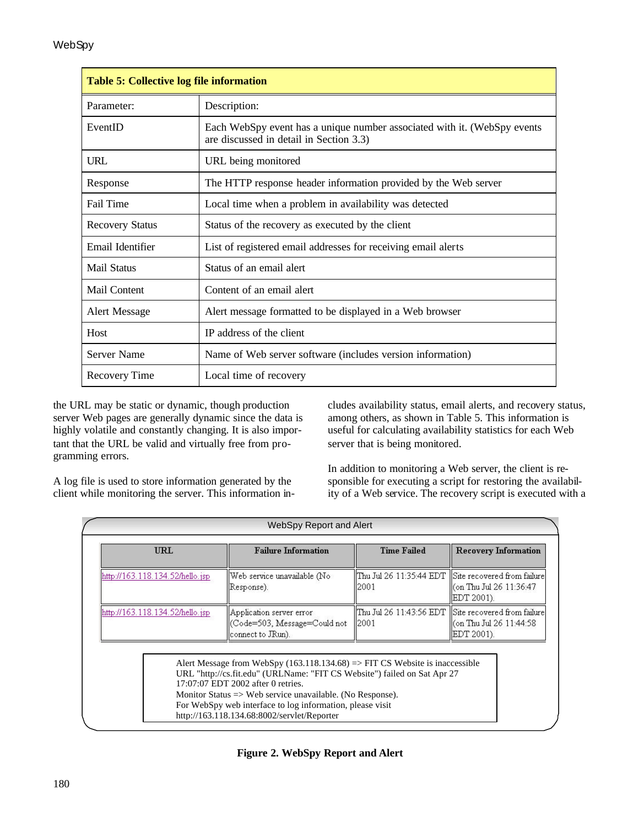| <b>Table 5: Collective log file information</b> |                                                                                                                     |  |
|-------------------------------------------------|---------------------------------------------------------------------------------------------------------------------|--|
| Parameter:                                      | Description:                                                                                                        |  |
| EventID                                         | Each WebSpy event has a unique number associated with it. (WebSpy events<br>are discussed in detail in Section 3.3) |  |
| URL                                             | URL being monitored                                                                                                 |  |
| Response                                        | The HTTP response header information provided by the Web server                                                     |  |
| Fail Time                                       | Local time when a problem in availability was detected                                                              |  |
| <b>Recovery Status</b>                          | Status of the recovery as executed by the client                                                                    |  |
| Email Identifier                                | List of registered email addresses for receiving email alerts                                                       |  |
| <b>Mail Status</b>                              | Status of an email alert                                                                                            |  |
| Mail Content                                    | Content of an email alert                                                                                           |  |
| <b>Alert Message</b>                            | Alert message formatted to be displayed in a Web browser                                                            |  |
| Host                                            | IP address of the client                                                                                            |  |
| <b>Server Name</b>                              | Name of Web server software (includes version information)                                                          |  |
| <b>Recovery Time</b>                            | Local time of recovery                                                                                              |  |

the URL may be static or dynamic, though production server Web pages are generally dynamic since the data is highly volatile and constantly changing. It is also important that the URL be valid and virtually free from programming errors.

cludes availability status, email alerts, and recovery status, among others, as shown in Table 5. This information is useful for calculating availability statistics for each Web server that is being monitored.

A log file is used to store information generated by the client while monitoring the server. This information inIn addition to monitoring a Web server, the client is responsible for executing a script for restoring the availability of a Web service. The recovery script is executed with a

|                                 | WebSpy Report and Alert                                                                                                                                                                                                                                                                                                                                                              |                    |                                                                                                  |  |
|---------------------------------|--------------------------------------------------------------------------------------------------------------------------------------------------------------------------------------------------------------------------------------------------------------------------------------------------------------------------------------------------------------------------------------|--------------------|--------------------------------------------------------------------------------------------------|--|
| <b>URL</b>                      | <b>Failure Information</b>                                                                                                                                                                                                                                                                                                                                                           | <b>Time Failed</b> | <b>Recovery Information</b>                                                                      |  |
| http://163.118.134.52/hello.jsp | Web service unavailable (No<br>Response).                                                                                                                                                                                                                                                                                                                                            | l2001              | Thu Jul 26 11:35:44 EDT   Site recovered from failure<br>con Thu Jul 26 11:36:47]<br>EDT 2001).  |  |
| http://163.118.134.52/hello.jsp | Application server error<br>Code=503, Message=Could not <br>connect to JRun).                                                                                                                                                                                                                                                                                                        | 2001               | Thu Jul 26 11:43:56 EDT   Site recovered from failure<br>ll(on Thu Jul 26 11:44:58<br>EDT 2001). |  |
|                                 | Alert Message from WebSpy $(163.118.134.68)$ => FIT CS Website is inaccessible<br>URL "http://cs.fit.edu" (URLName: "FIT CS Website") failed on Sat Apr 27<br>17:07:07 EDT 2002 after 0 retries.<br>Monitor Status $\Rightarrow$ Web service unavailable. (No Response).<br>For WebSpy web interface to log information, please visit<br>http://163.118.134.68:8002/servlet/Reporter |                    |                                                                                                  |  |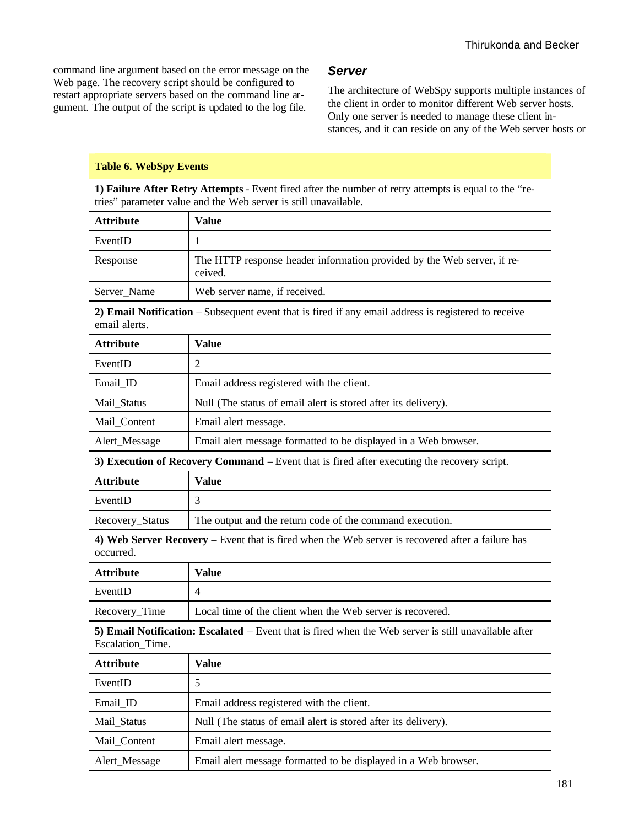command line argument based on the error message on the Web page. The recovery script should be configured to restart appropriate servers based on the command line argument. The output of the script is updated to the log file.

#### *Server*

The architecture of WebSpy supports multiple instances of the client in order to monitor different Web server hosts. Only one server is needed to manage these client instances, and it can reside on any of the Web server hosts or

| <b>Table 6. WebSpy Events</b>                                                                  |                                                                                                                                                                          |  |  |
|------------------------------------------------------------------------------------------------|--------------------------------------------------------------------------------------------------------------------------------------------------------------------------|--|--|
|                                                                                                | 1) Failure After Retry Attempts - Event fired after the number of retry attempts is equal to the "re-<br>tries" parameter value and the Web server is still unavailable. |  |  |
| <b>Attribute</b>                                                                               | <b>Value</b>                                                                                                                                                             |  |  |
| EventID                                                                                        | 1                                                                                                                                                                        |  |  |
| The HTTP response header information provided by the Web server, if re-<br>Response<br>ceived. |                                                                                                                                                                          |  |  |
| Server_Name                                                                                    | Web server name, if received.                                                                                                                                            |  |  |
| email alerts.                                                                                  | 2) Email Notification – Subsequent event that is fired if any email address is registered to receive                                                                     |  |  |
| <b>Attribute</b>                                                                               | <b>Value</b>                                                                                                                                                             |  |  |
| EventID                                                                                        | $\overline{2}$                                                                                                                                                           |  |  |
| Email_ID                                                                                       | Email address registered with the client.                                                                                                                                |  |  |
| Mail_Status                                                                                    | Null (The status of email alert is stored after its delivery).                                                                                                           |  |  |
| Mail_Content                                                                                   | Email alert message.                                                                                                                                                     |  |  |
| Alert_Message                                                                                  | Email alert message formatted to be displayed in a Web browser.                                                                                                          |  |  |
|                                                                                                | 3) Execution of Recovery Command - Event that is fired after executing the recovery script.                                                                              |  |  |
| <b>Attribute</b><br><b>Value</b>                                                               |                                                                                                                                                                          |  |  |
| EventID                                                                                        | 3                                                                                                                                                                        |  |  |
| Recovery_Status                                                                                | The output and the return code of the command execution.                                                                                                                 |  |  |
| occurred.                                                                                      | 4) Web Server Recovery – Event that is fired when the Web server is recovered after a failure has                                                                        |  |  |
| <b>Attribute</b>                                                                               | <b>Value</b>                                                                                                                                                             |  |  |
| EventID                                                                                        | $\overline{4}$                                                                                                                                                           |  |  |
| Recovery_Time                                                                                  | Local time of the client when the Web server is recovered.                                                                                                               |  |  |
| Escalation_Time.                                                                               | 5) Email Notification: Escalated – Event that is fired when the Web server is still unavailable after                                                                    |  |  |
| <b>Attribute</b>                                                                               | <b>Value</b>                                                                                                                                                             |  |  |
| EventID                                                                                        | 5                                                                                                                                                                        |  |  |
| Email_ID                                                                                       | Email address registered with the client.                                                                                                                                |  |  |
| Mail_Status                                                                                    | Null (The status of email alert is stored after its delivery).                                                                                                           |  |  |
| Mail_Content                                                                                   | Email alert message.                                                                                                                                                     |  |  |
| Alert_Message                                                                                  | Email alert message formatted to be displayed in a Web browser.                                                                                                          |  |  |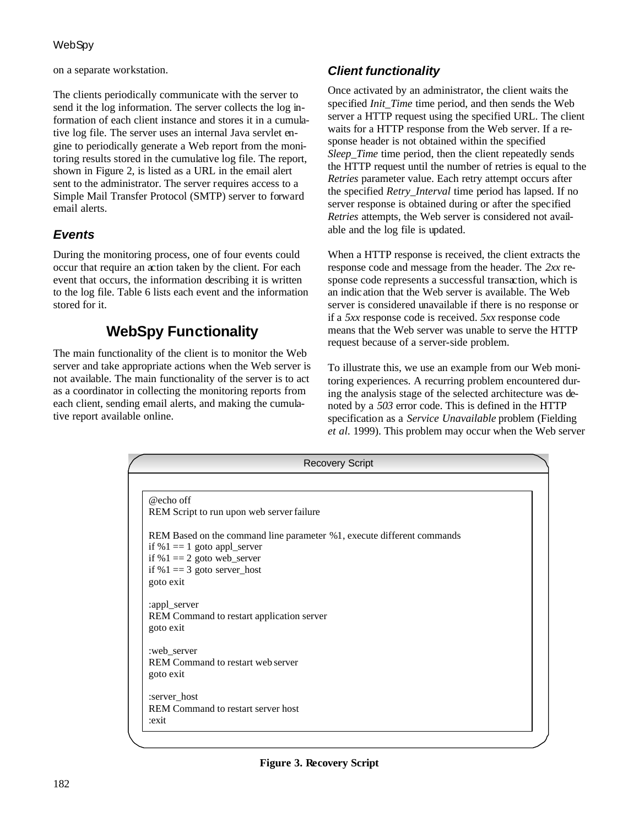#### **WebSpy**

on a separate workstation.

The clients periodically communicate with the server to send it the log information. The server collects the log information of each client instance and stores it in a cumulative log file. The server uses an internal Java servlet engine to periodically generate a Web report from the monitoring results stored in the cumulative log file. The report, shown in Figure 2, is listed as a URL in the email alert sent to the administrator. The server requires access to a Simple Mail Transfer Protocol (SMTP) server to forward email alerts.

#### *Events*

During the monitoring process, one of four events could occur that require an action taken by the client. For each event that occurs, the information describing it is written to the log file. Table 6 lists each event and the information stored for it.

## **WebSpy Functionality**

The main functionality of the client is to monitor the Web server and take appropriate actions when the Web server is not available. The main functionality of the server is to act as a coordinator in collecting the monitoring reports from each client, sending email alerts, and making the cumulative report available online.

### *Client functionality*

Once activated by an administrator, the client waits the specified *Init\_Time* time period, and then sends the Web server a HTTP request using the specified URL. The client waits for a HTTP response from the Web server. If a response header is not obtained within the specified *Sleep Time* time period, then the client repeatedly sends the HTTP request until the number of retries is equal to the *Retries* parameter value. Each retry attempt occurs after the specified *Retry\_Interval* time period has lapsed. If no server response is obtained during or after the specified *Retries* attempts, the Web server is considered not available and the log file is updated.

When a HTTP response is received, the client extracts the response code and message from the header. The *2xx* response code represents a successful transaction, which is an indic ation that the Web server is available. The Web server is considered unavailable if there is no response or if a *5xx* response code is received. *5xx* response code means that the Web server was unable to serve the HTTP request because of a server-side problem.

To illustrate this, we use an example from our Web monitoring experiences. A recurring problem encountered during the analysis stage of the selected architecture was denoted by a *503* error code. This is defined in the HTTP specification as a *Service Unavailable* problem (Fielding *et al.* 1999). This problem may occur when the Web server

| <b>Recovery Script</b>                                                 |  |
|------------------------------------------------------------------------|--|
|                                                                        |  |
| @echo off                                                              |  |
| REM Script to run upon web server failure                              |  |
| REM Based on the command line parameter %1, execute different commands |  |
| if %1 = $=$ 1 goto appl_server                                         |  |
| if %1 = $2$ goto web_server                                            |  |
| if %1 = $3$ goto server_host                                           |  |
| goto exit                                                              |  |
| :appl_server                                                           |  |
| REM Command to restart application server                              |  |
| goto exit                                                              |  |
|                                                                        |  |
| :web_server<br>REM Command to restart web server                       |  |
| goto exit                                                              |  |
|                                                                        |  |
| :server_host                                                           |  |
| REM Command to restart server host                                     |  |
| :exit                                                                  |  |
|                                                                        |  |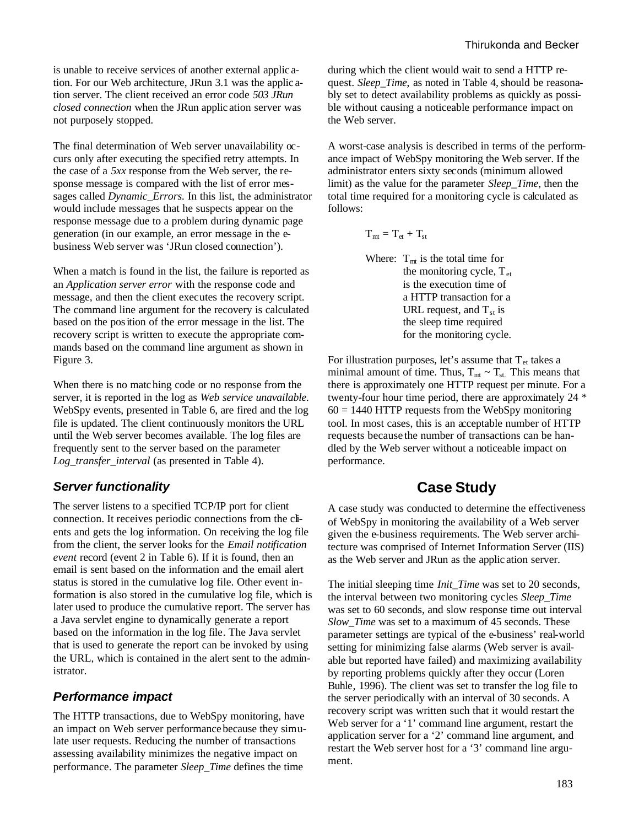is unable to receive services of another external applic ation. For our Web architecture, JRun 3.1 was the applic ation server. The client received an error code *503 JRun closed connection* when the JRun applic ation server was not purposely stopped.

The final determination of Web server unavailability occurs only after executing the specified retry attempts. In the case of a *5xx* response from the Web server, the response message is compared with the list of error messages called *Dynamic\_Errors.* In this list, the administrator would include messages that he suspects appear on the response message due to a problem during dynamic page generation (in our example, an error message in the ebusiness Web server was 'JRun closed connection').

When a match is found in the list, the failure is reported as an *Application server error* with the response code and message, and then the client executes the recovery script. The command line argument for the recovery is calculated based on the position of the error message in the list. The recovery script is written to execute the appropriate commands based on the command line argument as shown in Figure 3.

When there is no matc hing code or no response from the server, it is reported in the log as *Web service unavailable.*  WebSpy events, presented in Table 6, are fired and the log file is updated. The client continuously monitors the URL until the Web server becomes available. The log files are frequently sent to the server based on the parameter *Log\_transfer\_interval* (as presented in Table 4).

#### *Server functionality*

The server listens to a specified TCP/IP port for client connection. It receives periodic connections from the clients and gets the log information. On receiving the log file from the client, the server looks for the *Email notification event* record (event 2 in Table 6). If it is found, then an email is sent based on the information and the email alert status is stored in the cumulative log file. Other event information is also stored in the cumulative log file, which is later used to produce the cumulative report. The server has a Java servlet engine to dynamically generate a report based on the information in the log file. The Java servlet that is used to generate the report can be invoked by using the URL, which is contained in the alert sent to the administrator.

#### *Performance impact*

The HTTP transactions, due to WebSpy monitoring, have an impact on Web server performance because they simulate user requests. Reducing the number of transactions assessing availability minimizes the negative impact on performance. The parameter *Sleep\_Time* defines the time

during which the client would wait to send a HTTP request. *Sleep Time*, as noted in Table 4, should be reasonably set to detect availability problems as quickly as possible without causing a noticeable performance impact on the Web server.

A worst-case analysis is described in terms of the performance impact of WebSpy monitoring the Web server. If the administrator enters sixty seconds (minimum allowed limit) as the value for the parameter *Sleep\_Time*, then the total time required for a monitoring cycle is calculated as follows:

$$
T_{mt} = T_{et} + T_{st}
$$

Where:  $T_{mt}$  is the total time for the monitoring cycle,  $T_{et}$ is the execution time of a HTTP transaction for a URL request, and  $T_{st}$  is the sleep time required for the monitoring cycle.

For illustration purposes, let's assume that  $T_{et}$  takes a minimal amount of time. Thus,  $T_{mt} \sim T_{st}$ . This means that there is approximately one HTTP request per minute. For a twenty-four hour time period, there are approximately 24 \*  $60 = 1440$  HTTP requests from the WebSpy monitoring tool. In most cases, this is an acceptable number of HTTP requests because the number of transactions can be handled by the Web server without a noticeable impact on performance.

### **Case Study**

A case study was conducted to determine the effectiveness of WebSpy in monitoring the availability of a Web server given the e-business requirements. The Web server architecture was comprised of Internet Information Server (IIS) as the Web server and JRun as the applic ation server.

The initial sleeping time *Init\_Time* was set to 20 seconds, the interval between two monitoring cycles *Sleep\_Time* was set to 60 seconds, and slow response time out interval *Slow\_Time* was set to a maximum of 45 seconds. These parameter settings are typical of the e-business' real-world setting for minimizing false alarms (Web server is available but reported have failed) and maximizing availability by reporting problems quickly after they occur (Loren Buhle*,* 1996). The client was set to transfer the log file to the server periodically with an interval of 30 seconds. A recovery script was written such that it would restart the Web server for a '1' command line argument, restart the application server for a '2' command line argument, and restart the Web server host for a '3' command line argument.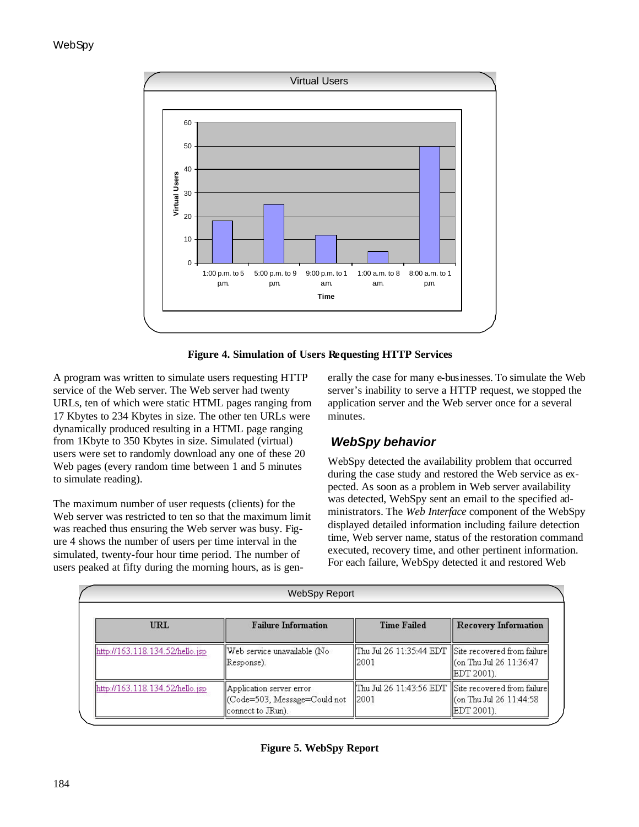

**Figure 4. Simulation of Users Requesting HTTP Services**

A program was written to simulate users requesting HTTP service of the Web server. The Web server had twenty URLs, ten of which were static HTML pages ranging from 17 Kbytes to 234 Kbytes in size. The other ten URLs were dynamically produced resulting in a HTML page ranging from 1Kbyte to 350 Kbytes in size. Simulated (virtual) users were set to randomly download any one of these 20 Web pages (every random time between 1 and 5 minutes to simulate reading).

The maximum number of user requests (clients) for the Web server was restricted to ten so that the maximum limit was reached thus ensuring the Web server was busy. Figure 4 shows the number of users per time interval in the simulated, twenty-four hour time period. The number of users peaked at fifty during the morning hours, as is generally the case for many e-businesses. To simulate the Web server's inability to serve a HTTP request, we stopped the application server and the Web server once for a several minutes.

### *WebSpy behavior*

WebSpy detected the availability problem that occurred during the case study and restored the Web service as expected. As soon as a problem in Web server availability was detected, WebSpy sent an email to the specified administrators. The *Web Interface* component of the WebSpy displayed detailed information including failure detection time, Web server name, status of the restoration command executed, recovery time, and other pertinent information. For each failure, WebSpy detected it and restored Web

|                                   | <b>WebSpy Report</b>                                                           |                    |                                                                                                   |
|-----------------------------------|--------------------------------------------------------------------------------|--------------------|---------------------------------------------------------------------------------------------------|
| <b>URL</b>                        | <b>Failure Information</b>                                                     | <b>Time Failed</b> | <b>Recovery Information</b>                                                                       |
| [http://163.118.134.52/hello.jsp] | Web service unavailable (No<br>  Response).                                    | 12001              | Thu Jul 26 11:35:44 EDT Site recovered from failure<br>Con Thu Jul 26 11:36:47<br> EDT 2001).     |
| [http://163.118.134.52/hello.jsp] | Application server error<br>Code=503, Message=Could not <br>(connect to JRun). | 12001              | Thu Jul 26 11:43:56 EDT   Site recovered from failure<br>ll(on Thu Jul 26 11:44:58<br> EDT 2001). |

**Figure 5. WebSpy Report**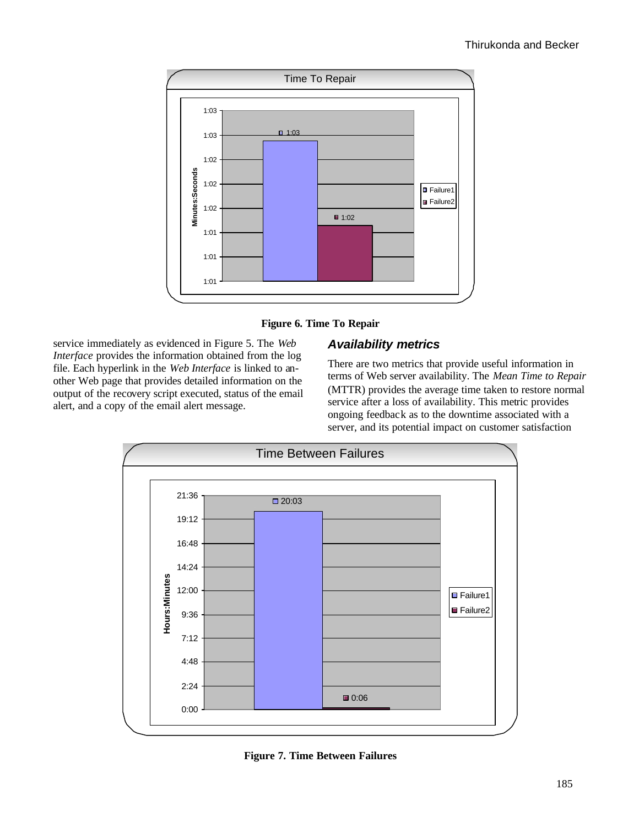



service immediately as evidenced in Figure 5. The *Web Interface* provides the information obtained from the log file. Each hyperlink in the *Web Interface* is linked to another Web page that provides detailed information on the output of the recovery script executed, status of the email alert, and a copy of the email alert message.

#### *Availability metrics*

There are two metrics that provide useful information in terms of Web server availability. The *Mean Time to Repair* (MTTR) provides the average time taken to restore normal service after a loss of availability. This metric provides ongoing feedback as to the downtime associated with a server, and its potential impact on customer satisfaction



**Figure 7. Time Between Failures**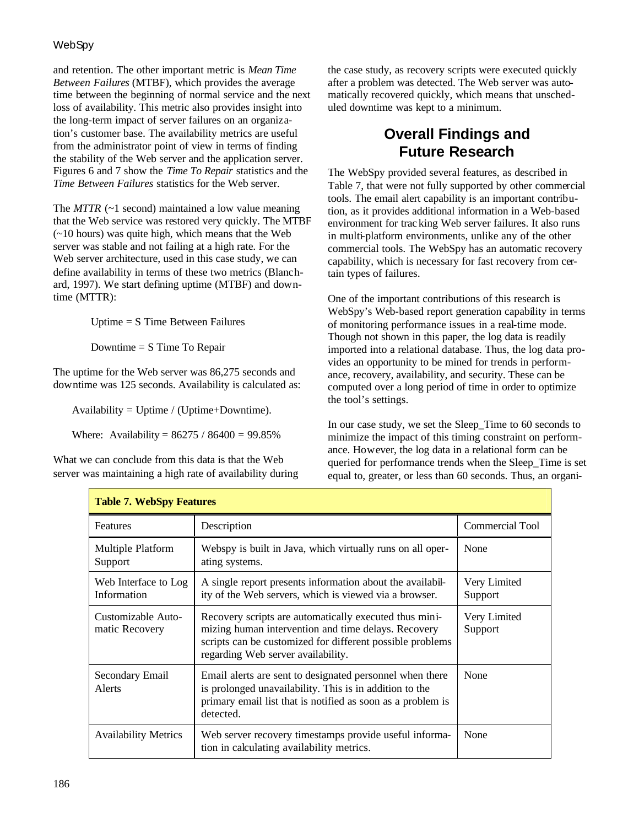#### **WebSpy**

and retention. The other important metric is *Mean Time Between Failures* (MTBF), which provides the average time between the beginning of normal service and the next loss of availability. This metric also provides insight into the long-term impact of server failures on an organization's customer base. The availability metrics are useful from the administrator point of view in terms of finding the stability of the Web server and the application server. Figures 6 and 7 show the *Time To Repair* statistics and the *Time Between Failures* statistics for the Web server.

The *MTTR* (~1 second) maintained a low value meaning that the Web service was restored very quickly. The MTBF (~10 hours) was quite high, which means that the Web server was stable and not failing at a high rate. For the Web server architecture, used in this case study, we can define availability in terms of these two metrics (Blanchard, 1997). We start defining uptime (MTBF) and downtime (MTTR):

Uptime = S Time Between Failures

Downtime  $= S$  Time To Repair

The uptime for the Web server was 86,275 seconds and downtime was 125 seconds. Availability is calculated as:

Availability = Uptime / (Uptime+Downtime).

Where: Availability =  $86275 / 86400 = 99.85\%$ 

What we can conclude from this data is that the Web server was maintaining a high rate of availability during the case study, as recovery scripts were executed quickly after a problem was detected. The Web server was automatically recovered quickly, which means that unscheduled downtime was kept to a minimum.

## **Overall Findings and Future Research**

The WebSpy provided several features, as described in Table 7, that were not fully supported by other commercial tools. The email alert capability is an important contribution, as it provides additional information in a Web-based environment for trac king Web server failures. It also runs in multi-platform environments, unlike any of the other commercial tools. The WebSpy has an automatic recovery capability, which is necessary for fast recovery from certain types of failures.

One of the important contributions of this research is WebSpy's Web-based report generation capability in terms of monitoring performance issues in a real-time mode. Though not shown in this paper, the log data is readily imported into a relational database. Thus, the log data provides an opportunity to be mined for trends in performance, recovery, availability, and security. These can be computed over a long period of time in order to optimize the tool's settings.

In our case study, we set the Sleep\_Time to 60 seconds to minimize the impact of this timing constraint on performance. However, the log data in a relational form can be queried for performance trends when the Sleep\_Time is set equal to, greater, or less than 60 seconds. Thus, an organi-

| <b>Table 7. WebSpy Features</b>      |                                                                                                                                                                                                                  |                         |  |
|--------------------------------------|------------------------------------------------------------------------------------------------------------------------------------------------------------------------------------------------------------------|-------------------------|--|
| <b>Features</b>                      | Description                                                                                                                                                                                                      | <b>Commercial Tool</b>  |  |
| Multiple Platform<br>Support         | Webspy is built in Java, which virtually runs on all oper-<br>ating systems.                                                                                                                                     | None                    |  |
| Web Interface to Log<br>Information  | A single report presents information about the availabil-<br>ity of the Web servers, which is viewed via a browser.                                                                                              | Very Limited<br>Support |  |
| Customizable Auto-<br>matic Recovery | Recovery scripts are automatically executed thus mini-<br>mizing human intervention and time delays. Recovery<br>scripts can be customized for different possible problems<br>regarding Web server availability. | Very Limited<br>Support |  |
| Secondary Email<br>Alerts            | Email alerts are sent to designated personnel when there<br>is prolonged unavailability. This is in addition to the<br>primary email list that is notified as soon as a problem is<br>detected.                  | None                    |  |
| <b>Availability Metrics</b>          | Web server recovery timestamps provide useful informa-<br>tion in calculating availability metrics.                                                                                                              | None                    |  |